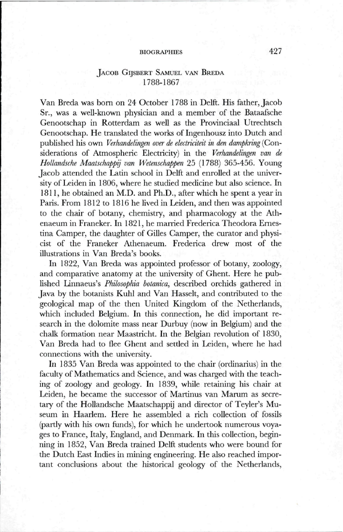# BIOGRAPHIES 427

# JACOB GIJSBERT SAMUEL VAN BREDA 1788-1867

Van Breda was born on 24 October 1788 in Delft. His father, Jacob Sr., was a well-known physician and a member of the Bataafsche Genootschap in Rotterdam as well as the Provinciaal Utrechtsch Genootschap. He translated the works of Ingenhousz into Dutch and published his own *Verhandelingen over de electriciteit in den dampkring* (Considerations of Atmospheric Electricity) in the *Verhandelingen van de Hollandsche Maatschappij van Wetenschappen* 25 (1788) 365-456. Young Jacob attended the Latin school in Delft and enrolled at the university of Leiden in 1806, where he studied medicine but also science. In 1811, he obtained an M.D. and Ph.D., after which he spent a year in Paris. From 1812 to 1816 he lived in Leiden, and then was appointed to the chair of botany, chemistiy, and pharmacology at the Athenaeum in Franeker. In 1821, he married Frederica Theodora Emestina Camper, the daughter of Gilles Camper, the curator and physicist of the Franeker Athenaeum. Frederica drew most of the illustrations in V^an Breda's books.

In 1822, Van Breda was appointed professor of botany, zoology, and comparative anatomy at the university of Ghent. Here he published Linnaeus's *Philosophia botanica,* described orchids gathered in Java by the botanists Kuhl and Van Hasselt, and contributed to the geological map of the then United Kingdom of the Netherlands, which included Belgium. In this connection, he did important research in the dolomite mass near Durbuy (now in Belgium) and the chalk formation near Maastricht. In the Belgian revolution of 1830, Van Breda had to flee Ghent and settied in Leiden, where he had connections with the university.

In 1835 Van Breda was appointed to the chair (ordinarius) in the faculty of Mathematics and Science, and was charged with the teaching of zoology and geology. In 1839, while retaining his chair at Leiden, he became the successor of Martinus van Marum as secretary of the Hollandsche Maatschappij and director of Teyler's Museum in Haarlem. Here he assembled a rich collection of fossils (partly with his own funds), for which he undertook numerous voyages to France, Italy, England, and Denmark. In this collection, beginning in 1852, Van Breda trained Delft students who were bound for the Dutch East Indies in mining engineering. He also reached important conclusions about the historical geology of the Netherlands,